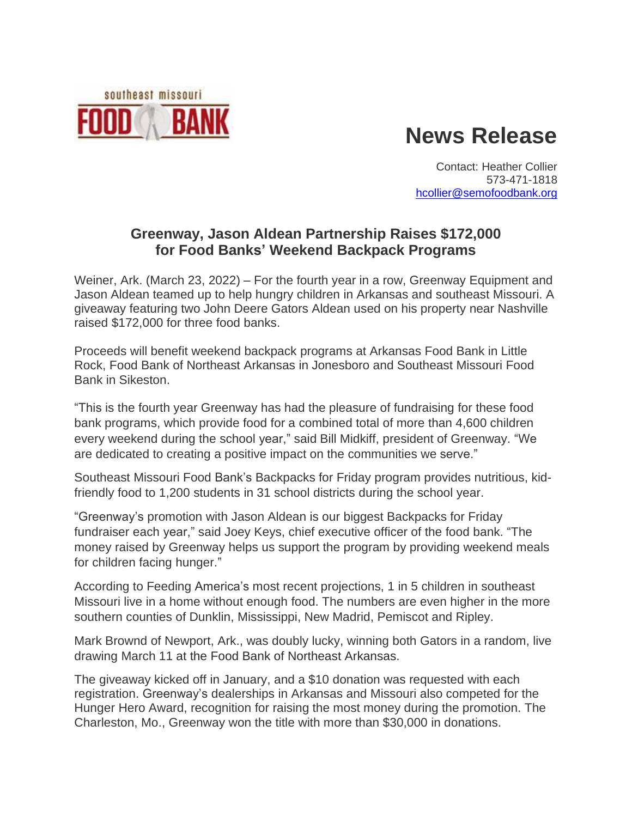

# **News Release**

Contact: Heather Collier 573-471-1818 [hcollier@semofoodbank.org](mailto:hcollier@semofoodbank.org)

## **Greenway, Jason Aldean Partnership Raises \$172,000 for Food Banks' Weekend Backpack Programs**

Weiner, Ark. (March 23, 2022) – For the fourth year in a row, Greenway Equipment and Jason Aldean teamed up to help hungry children in Arkansas and southeast Missouri. A giveaway featuring two John Deere Gators Aldean used on his property near Nashville raised \$172,000 for three food banks.

Proceeds will benefit weekend backpack programs at Arkansas Food Bank in Little Rock, Food Bank of Northeast Arkansas in Jonesboro and Southeast Missouri Food Bank in Sikeston.

"This is the fourth year Greenway has had the pleasure of fundraising for these food bank programs, which provide food for a combined total of more than 4,600 children every weekend during the school year," said Bill Midkiff, president of Greenway. "We are dedicated to creating a positive impact on the communities we serve."

Southeast Missouri Food Bank's Backpacks for Friday program provides nutritious, kidfriendly food to 1,200 students in 31 school districts during the school year.

"Greenway's promotion with Jason Aldean is our biggest Backpacks for Friday fundraiser each year," said Joey Keys, chief executive officer of the food bank. "The money raised by Greenway helps us support the program by providing weekend meals for children facing hunger."

According to Feeding America's most recent projections, 1 in 5 children in southeast Missouri live in a home without enough food. The numbers are even higher in the more southern counties of Dunklin, Mississippi, New Madrid, Pemiscot and Ripley.

Mark Brownd of Newport, Ark., was doubly lucky, winning both Gators in a random, live drawing March 11 at the Food Bank of Northeast Arkansas.

The giveaway kicked off in January, and a \$10 donation was requested with each registration. Greenway's dealerships in Arkansas and Missouri also competed for the Hunger Hero Award, recognition for raising the most money during the promotion. The Charleston, Mo., Greenway won the title with more than \$30,000 in donations.